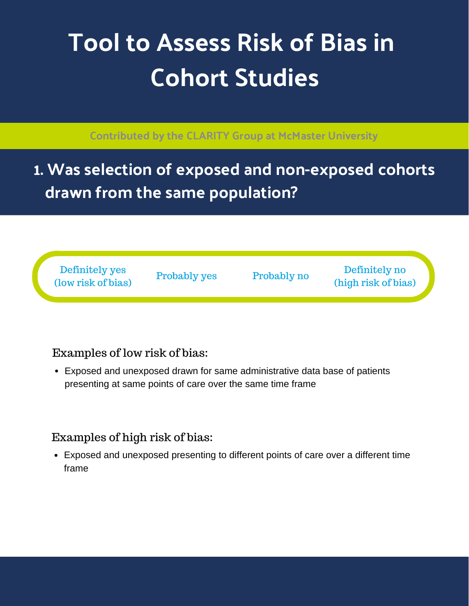# **Tool to Assess Risk of Bias in Cohort Studies**

#### **Contributed by the CLARITY Group at McMaster University**

**1. Was selection of exposed and non-exposed cohorts drawn from the same population?**

Definitely yes (low risk of bias)

Probably yes Probably no

Definitely no (high risk of bias)

# Examples of low risk of bias:

Exposed and unexposed drawn for same administrative data base of patients presenting at same points of care over the same time frame

#### Examples of high risk of bias:

Exposed and unexposed presenting to different points of care over a different time frame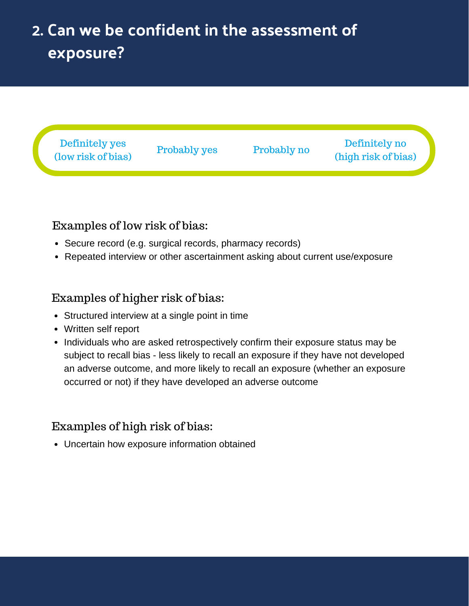# **2. Can we be confident in the assessment of exposure?**



#### Examples of low risk of bias:

- Secure record (e.g. surgical records, pharmacy records)
- Repeated interview or other ascertainment asking about current use/exposure

#### Examples of higher risk of bias:

- Structured interview at a single point in time
- Written self report
- Individuals who are asked retrospectively confirm their exposure status may be subject to recall bias - less likely to recall an exposure if they have not developed an adverse outcome, and more likely to recall an exposure (whether an exposure occurred or not) if they have developed an adverse outcome

# Examples of high risk of bias:

Uncertain how exposure information obtained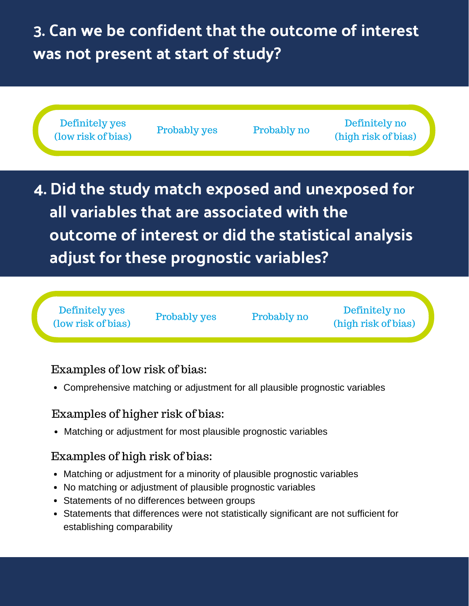# **3. Can we be confident that the outcome of interest was not present at start of study?**



# Examples of low risk of bias:

Comprehensive matching or adjustment for all plausible prognostic variables

# Examples of higher risk of bias:

Matching or adjustment for most plausible prognostic variables

# Examples of high risk of bias:

- Matching or adjustment for a minority of plausible prognostic variables
- No matching or adjustment of plausible prognostic variables
- Statements of no differences between groups
- Statements that differences were not statistically significant are not sufficient for establishing comparability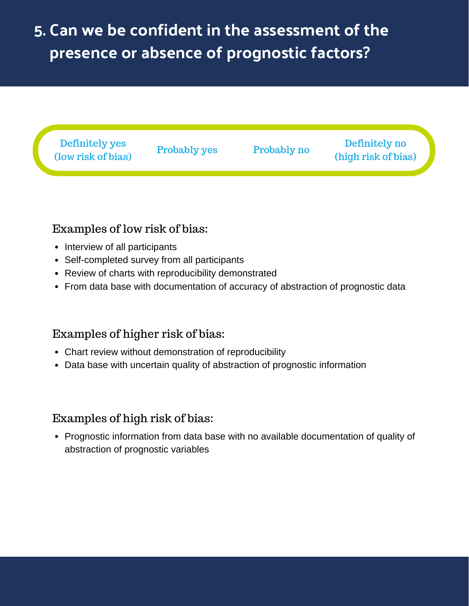# **5. Can we be confident in the assessment of the presence or absence of prognostic factors?**



# Examples of low risk of bias:

- Interview of all participants
- Self-completed survey from all participants
- Review of charts with reproducibility demonstrated
- From data base with documentation of accuracy of abstraction of prognostic data

# Examples of higher risk of bias:

- Chart review without demonstration of reproducibility
- Data base with uncertain quality of abstraction of prognostic information

#### Examples of high risk of bias:

• Prognostic information from data base with no available documentation of quality of abstraction of prognostic variables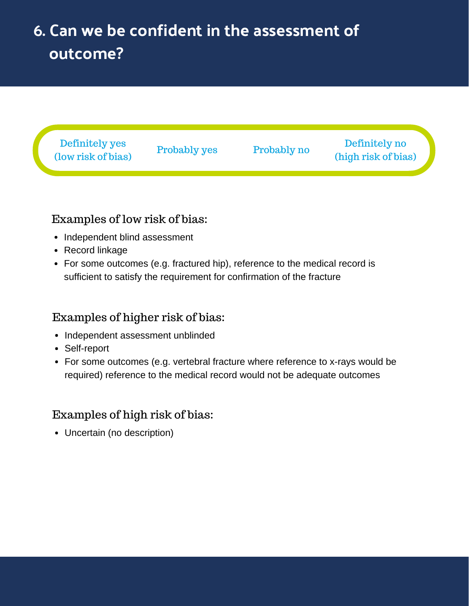# **6. Can we be confident in the assessment of outcome?**



# Examples of low risk of bias:

- Independent blind assessment
- Record linkage
- For some outcomes (e.g. fractured hip), reference to the medical record is sufficient to satisfy the requirement for confirmation of the fracture

#### Examples of higher risk of bias:

- Independent assessment unblinded
- Self-report
- For some outcomes (e.g. vertebral fracture where reference to x-rays would be required) reference to the medical record would not be adequate outcomes

#### Examples of high risk of bias:

Uncertain (no description)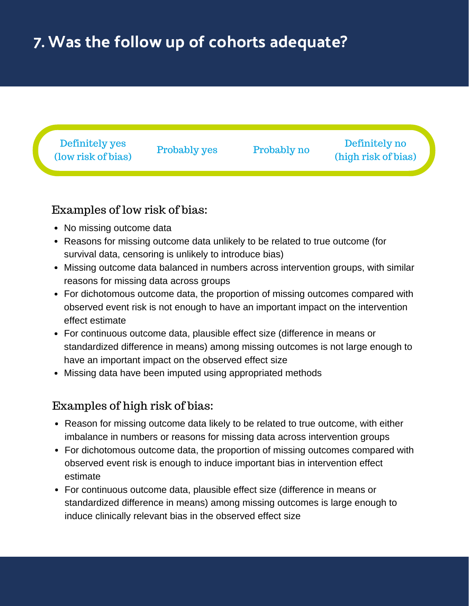# **7. Was the follow up of cohorts adequate?**



#### Examples of low risk of bias:

- No missing outcome data
- Reasons for missing outcome data unlikely to be related to true outcome (for survival data, censoring is unlikely to introduce bias)
- Missing outcome data balanced in numbers across intervention groups, with similar reasons for missing data across groups
- For dichotomous outcome data, the proportion of missing outcomes compared with observed event risk is not enough to have an important impact on the intervention effect estimate
- For continuous outcome data, plausible effect size (difference in means or standardized difference in means) among missing outcomes is not large enough to have an important impact on the observed effect size
- Missing data have been imputed using appropriated methods

#### Examples of high risk of bias:

- Reason for missing outcome data likely to be related to true outcome, with either imbalance in numbers or reasons for missing data across intervention groups
- For dichotomous outcome data, the proportion of missing outcomes compared with observed event risk is enough to induce important bias in intervention effect estimate
- For continuous outcome data, plausible effect size (difference in means or standardized difference in means) among missing outcomes is large enough to induce clinically relevant bias in the observed effect size